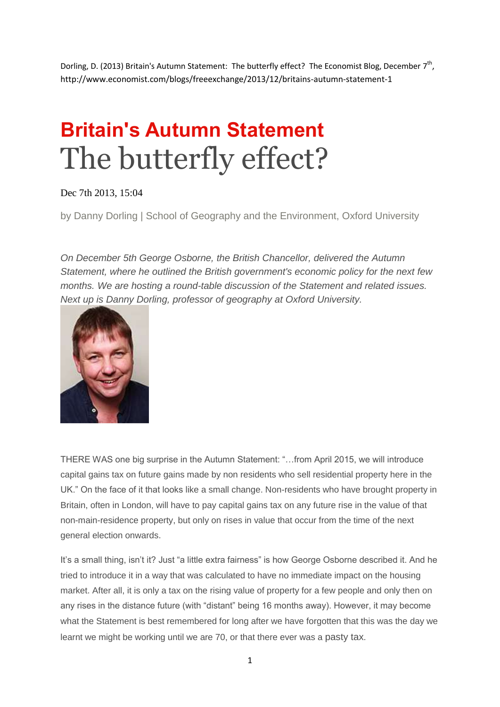Dorling, D. (2013) Britain's Autumn Statement: The butterfly effect? The Economist Blog, December 7<sup>th</sup>, http://www.economist.com/blogs/freeexchange/2013/12/britains-autumn-statement-1

## **Britain's Autumn Statement** The butterfly effect?

Dec 7th 2013, 15:04

by Danny Dorling | School of Geography and the Environment, Oxford University

*On December 5th George Osborne, the British Chancellor, delivered the Autumn Statement, where he outlined the British government's economic policy for the next few months. We are hosting a round-table discussion of the Statement and related issues. Next up is Danny Dorling, professor of geography at Oxford University.*



THERE WAS one big surprise in the Autumn Statement: "…from April 2015, we will introduce capital gains tax on future gains made by non residents who sell residential property here in the UK." On the face of it that looks like a small change. Non-residents who have brought property in Britain, often in London, will have to pay capital gains tax on any future rise in the value of that non-main-residence property, but only on rises in value that occur from the time of the next general election onwards.

It's a small thing, isn't it? Just "a little extra fairness" is how George Osborne described it. And he tried to introduce it in a way that was calculated to have no immediate impact on the housing market. After all, it is only a tax on the rising value of property for a few people and only then on any rises in the distance future (with "distant" being 16 months away). However, it may become what the Statement is best remembered for long after we have forgotten that this was the day we learnt we might be working until we are 70, or that there ever was a [pasty](http://www.economist.com/blogs/bagehot/2012/03/david-cameron-and-class) tax.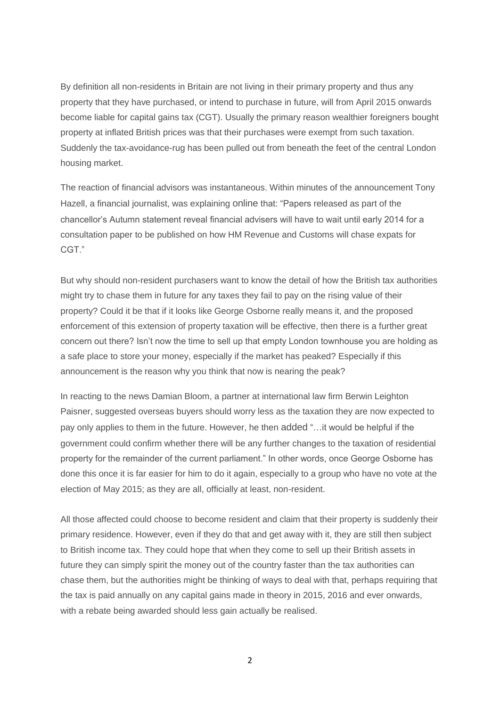By definition all non-residents in Britain are not living in their primary property and thus any property that they have purchased, or intend to purchase in future, will from April 2015 onwards become liable for capital gains tax (CGT). Usually the primary reason wealthier foreigners bought property at inflated British prices was that their purchases were exempt from such taxation. Suddenly the tax-avoidance-rug has been pulled out from beneath the feet of the central London housing market.

The reaction of financial advisors was instantaneous. Within minutes of the announcement Tony Hazell, a financial journalist, was explaining [online](http://www.ftadviser.com/2013/12/05/mortgages/mortgage-products/cgt-charge-introduced-for-non-residents-selling-uk-property-M05FgrL2eUNyuFWgfBylRO/article.html) that: "Papers released as part of the chancellor's Autumn statement reveal financial advisers will have to wait until early 2014 for a consultation paper to be published on how HM Revenue and Customs will chase expats for CGT."

But why should non-resident purchasers want to know the detail of how the British tax authorities might try to chase them in future for any taxes they fail to pay on the rising value of their property? Could it be that if it looks like George Osborne really means it, and the proposed enforcement of this extension of property taxation will be effective, then there is a further great concern out there? Isn't now the time to sell up that empty London townhouse you are holding as a safe place to store your money, especially if the market has peaked? Especially if this announcement is the reason why you think that now is nearing the peak?

In reacting to the news Damian Bloom, a partner at international law firm Berwin Leighton Paisner, suggested overseas buyers should worry less as the taxation they are now expected to pay only applies to them in the future. However, he then [added](http://www.ftadviser.com/2013/12/05/mortgages/mortgage-products/cgt-charge-introduced-for-non-residents-selling-uk-property-M05FgrL2eUNyuFWgfBylRO/article.html) "…it would be helpful if the government could confirm whether there will be any further changes to the taxation of residential property for the remainder of the current parliament." In other words, once George Osborne has done this once it is far easier for him to do it again, especially to a group who have no vote at the election of May 2015; as they are all, officially at least, non-resident.

All those affected could choose to become resident and claim that their property is suddenly their primary residence. However, even if they do that and get away with it, they are still then subject to British income tax. They could hope that when they come to sell up their British assets in future they can simply spirit the money out of the country faster than the tax authorities can chase them, but the authorities might be thinking of ways to deal with that, perhaps requiring that the tax is paid annually on any capital gains made in theory in 2015, 2016 and ever onwards, with a rebate being awarded should less gain actually be realised.